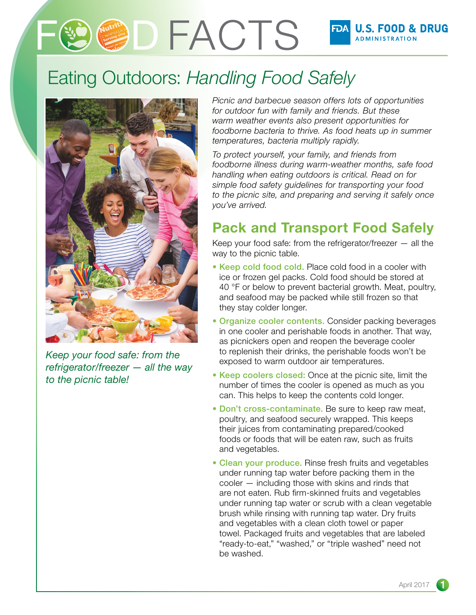# **D FACTS**

# Eating Outdoors: *Handling Food Safely*



*Keep your food safe: from the refrigerator/freezer — all the way to the picnic table!* 

*Picnic and barbecue season offers lots of opportunities for outdoor fun with family and friends. But these warm weather events also present opportunities for foodborne bacteria to thrive. As food heats up in summer temperatures, bacteria multiply rapidly.* 

*To protect yourself, your family, and friends from foodborne illness during warm-weather months, safe food handling when eating outdoors is critical. Read on for simple food safety guidelines for transporting your food to the picnic site, and preparing and serving it safely once you've arrived.* 

## Pack and Transport Food Safely

Keep your food safe: from the refrigerator/freezer — all the way to the picnic table.

- Keep cold food cold. Place cold food in a cooler with ice or frozen gel packs. Cold food should be stored at 40 °F or below to prevent bacterial growth. Meat, poultry, and seafood may be packed while still frozen so that they stay colder longer.
- Organize cooler contents. Consider packing beverages in one cooler and perishable foods in another. That way, as picnickers open and reopen the beverage cooler to replenish their drinks, the perishable foods won't be exposed to warm outdoor air temperatures.
- Keep coolers closed: Once at the picnic site, limit the number of times the cooler is opened as much as you can. This helps to keep the contents cold longer.
- Don't cross-contaminate. Be sure to keep raw meat, poultry, and seafood securely wrapped. This keeps their juices from contaminating prepared/cooked foods or foods that will be eaten raw, such as fruits and vegetables.
- Clean your produce. Rinse fresh fruits and vegetables under running tap water before packing them in the cooler — including those with skins and rinds that are not eaten. Rub firm-skinned fruits and vegetables under running tap water or scrub with a clean vegetable brush while rinsing with running tap water. Dry fruits and vegetables with a clean cloth towel or paper towel. Packaged fruits and vegetables that are labeled "ready-to-eat," "washed," or "triple washed" need not be washed.

1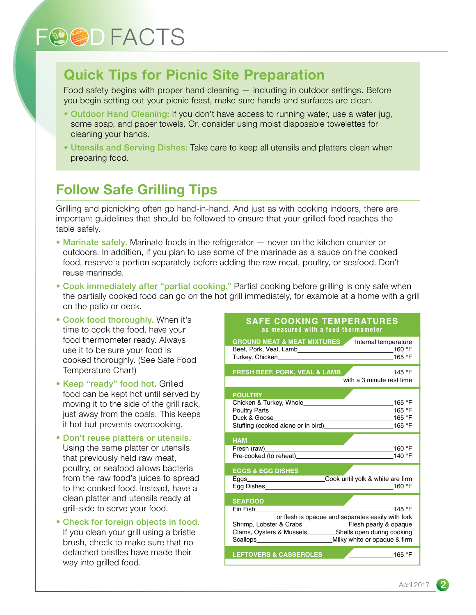# **FOOD FACTS**

### Quick Tips for Picnic Site Preparation

Food safety begins with proper hand cleaning — including in outdoor settings. Before you begin setting out your picnic feast, make sure hands and surfaces are clean.

- Outdoor Hand Cleaning: If you don't have access to running water, use a water jug, some soap, and paper towels. Or, consider using moist disposable towelettes for cleaning your hands.
- Utensils and Serving Dishes: Take care to keep all utensils and platters clean when preparing food.

### Follow Safe Grilling Tips

Grilling and picnicking often go hand-in-hand. And just as with cooking indoors, there are important guidelines that should be followed to ensure that your grilled food reaches the table safely.

- Marinate safely. Marinate foods in the refrigerator never on the kitchen counter or outdoors. In addition, if you plan to use some of the marinade as a sauce on the cooked food, reserve a portion separately before adding the raw meat, poultry, or seafood. Don't reuse marinade.
- Cook immediately after "partial cooking." Partial cooking before grilling is only safe when the partially cooked food can go on the hot grill immediately, for example at a home with a grill on the patio or deck.
- Cook food thoroughly. When it's time to cook the food, have your food thermometer ready. Always use it to be sure your food is cooked thoroughly. (See Safe Food Temperature Chart)
- Keep "ready" food hot. Grilled food can be kept hot until served by moving it to the side of the grill rack, just away from the coals. This keeps it hot but prevents overcooking.
- Don't reuse platters or utensils. Using the same platter or utensils that previously held raw meat, poultry, or seafood allows bacteria from the raw food's juices to spread to the cooked food. Instead, have a clean platter and utensils ready at grill-side to serve your food.
- Check for foreign objects in food. If you clean your grill using a bristle brush, check to make sure that no detached bristles have made their way into grilled food.

#### **SAFE COOKING TEMPERATURES as measured with a food thermometer**

| <b>GROUND MEAT &amp; MEAT MIXTURES</b> Internal temperature<br>Turkey, Chicken 165 °F                                                                       |
|-------------------------------------------------------------------------------------------------------------------------------------------------------------|
| FRESH BEEF, PORK, VEAL & LAMB 4 2000 145 °F<br>with a 3 minute rest time                                                                                    |
| <b>POULTRY</b>                                                                                                                                              |
| <b>HAM</b><br>Fresh (raw)<br>160 °F<br><u> 1989 - Johann Barn, amerikansk politiker (d. 1989)</u>                                                           |
| <b>EGGS &amp; EGG DISHES</b><br>Eggs______________________________Cook until yolk & white are firm                                                          |
| <b>SEAFOOD</b><br>Fin Fish<br>145 °F<br>or flesh is opaque and separates easily with fork<br>Clams, Oysters & Mussels____________Shells open during cooking |
| <b>LEFTOVERS &amp; CASSEROLES</b><br>165 °F                                                                                                                 |

2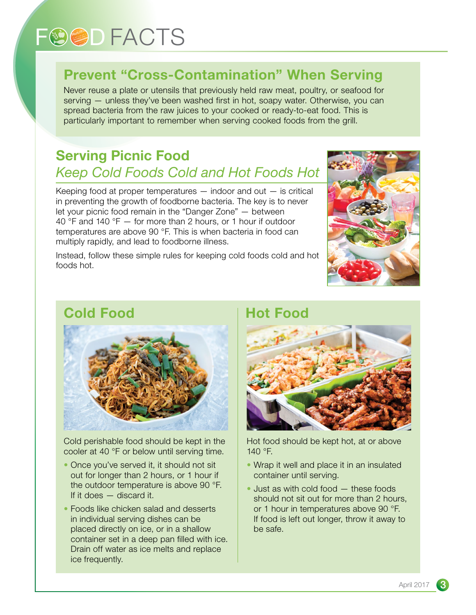# **FOOD FACTS**

# Prevent "Cross-Contamination" When Serving

Never reuse a plate or utensils that previously held raw meat, poultry, or seafood for serving — unless they've been washed first in hot, soapy water. Otherwise, you can spread bacteria from the raw juices to your cooked or ready-to-eat food. This is particularly important to remember when serving cooked foods from the grill.

## Serving Picnic Food *Keep Cold Foods Cold and Hot Foods Hot*

Keeping food at proper temperatures  $-$  indoor and out  $-$  is critical in preventing the growth of foodborne bacteria. The key is to never let your picnic food remain in the "Danger Zone" — between 40 °F and 140 °F — for more than 2 hours, or 1 hour if outdoor temperatures are above 90 °F. This is when bacteria in food can multiply rapidly, and lead to foodborne illness.

Instead, follow these simple rules for keeping cold foods cold and hot foods hot.





cooler at 40 °F or below until serving time. Cold perishable food should be kept in the

- Once you've served it, it should not sit out for longer than 2 hours, or 1 hour if the outdoor temperature is above 90 °F. If it does — discard it.
- Foods like chicken salad and desserts in individual serving dishes can be placed directly on ice, or in a shallow container set in a deep pan filled with ice. Drain off water as ice melts and replace ice frequently.

Hot Food



Hot food should be kept hot, at or above 140 °F.

- container until serving. • Wrap it well and place it in an insulated
- $\bullet$  Just as with cold food  $-$  these foods should not sit out for more than 2 hours, or 1 hour in temperatures above 90 °F. If food is left out longer, throw it away to be safe.